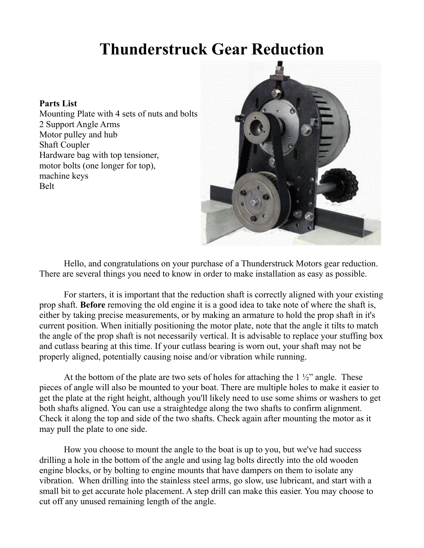## **Thunderstruck Gear Reduction**

## **Parts List**

Mounting Plate with 4 sets of nuts and bolts 2 Support Angle Arms Motor pulley and hub Shaft Coupler Hardware bag with top tensioner, motor bolts (one longer for top), machine keys Belt



Hello, and congratulations on your purchase of a Thunderstruck Motors gear reduction. There are several things you need to know in order to make installation as easy as possible.

For starters, it is important that the reduction shaft is correctly aligned with your existing prop shaft. **Before** removing the old engine it is a good idea to take note of where the shaft is, either by taking precise measurements, or by making an armature to hold the prop shaft in it's current position. When initially positioning the motor plate, note that the angle it tilts to match the angle of the prop shaft is not necessarily vertical. It is advisable to replace your stuffing box and cutlass bearing at this time. If your cutlass bearing is worn out, your shaft may not be properly aligned, potentially causing noise and/or vibration while running.

At the bottom of the plate are two sets of holes for attaching the  $1\frac{1}{2}$  angle. These pieces of angle will also be mounted to your boat. There are multiple holes to make it easier to get the plate at the right height, although you'll likely need to use some shims or washers to get both shafts aligned. You can use a straightedge along the two shafts to confirm alignment. Check it along the top and side of the two shafts. Check again after mounting the motor as it may pull the plate to one side.

How you choose to mount the angle to the boat is up to you, but we've had success drilling a hole in the bottom of the angle and using lag bolts directly into the old wooden engine blocks, or by bolting to engine mounts that have dampers on them to isolate any vibration. When drilling into the stainless steel arms, go slow, use lubricant, and start with a small bit to get accurate hole placement. A step drill can make this easier. You may choose to cut off any unused remaining length of the angle.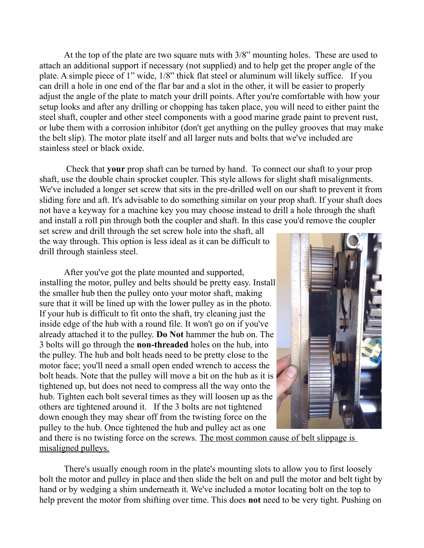At the top of the plate are two square nuts with 3/8" mounting holes. These are used to attach an additional support if necessary (not supplied) and to help get the proper angle of the plate. A simple piece of 1" wide, 1/8" thick flat steel or aluminum will likely suffice. If you can drill a hole in one end of the flar bar and a slot in the other, it will be easier to properly adjust the angle of the plate to match your drill points. After you're comfortable with how your setup looks and after any drilling or chopping has taken place, you will need to either paint the steel shaft, coupler and other steel components with a good marine grade paint to prevent rust, or lube them with a corrosion inhibitor (don't get anything on the pulley grooves that may make the belt slip). The motor plate itself and all larger nuts and bolts that we've included are stainless steel or black oxide.

 Check that **your** prop shaft can be turned by hand. To connect our shaft to your prop shaft, use the double chain sprocket coupler. This style allows for slight shaft misalignments. We've included a longer set screw that sits in the pre-drilled well on our shaft to prevent it from sliding fore and aft. It's advisable to do something similar on your prop shaft. If your shaft does not have a keyway for a machine key you may choose instead to drill a hole through the shaft and install a roll pin through both the coupler and shaft. In this case you'd remove the coupler

set screw and drill through the set screw hole into the shaft, all the way through. This option is less ideal as it can be difficult to drill through stainless steel.

After you've got the plate mounted and supported, installing the motor, pulley and belts should be pretty easy. Install the smaller hub then the pulley onto your motor shaft, making sure that it will be lined up with the lower pulley as in the photo. If your hub is difficult to fit onto the shaft, try cleaning just the inside edge of the hub with a round file. It won't go on if you've already attached it to the pulley. **Do Not** hammer the hub on. The 3 bolts will go through the **non-threaded** holes on the hub, into the pulley. The hub and bolt heads need to be pretty close to the motor face; you'll need a small open ended wrench to access the bolt heads. Note that the pulley will move a bit on the hub as it is tightened up, but does not need to compress all the way onto the hub. Tighten each bolt several times as they will loosen up as the others are tightened around it. If the 3 bolts are not tightened down enough they may shear off from the twisting force on the pulley to the hub. Once tightened the hub and pulley act as one



and there is no twisting force on the screws. The most common cause of belt slippage is misaligned pulleys.

There's usually enough room in the plate's mounting slots to allow you to first loosely bolt the motor and pulley in place and then slide the belt on and pull the motor and belt tight by hand or by wedging a shim underneath it. We've included a motor locating bolt on the top to help prevent the motor from shifting over time. This does **not** need to be very tight. Pushing on